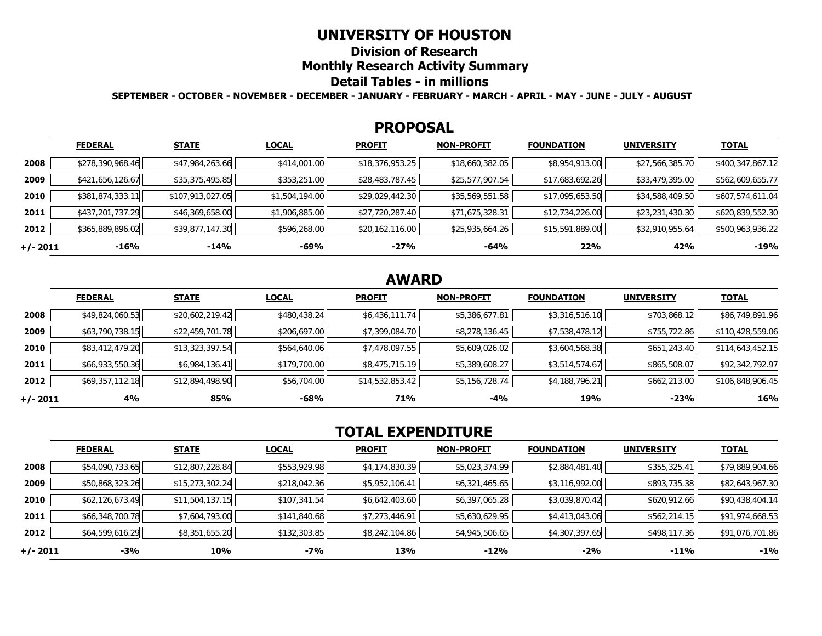## **UNIVERSITY OF HOUSTON**

**Division of Research**

**Monthly Research Activity Summary**

### **Detail Tables - in millions**

**SEPTEMBER - OCTOBER - NOVEMBER - DECEMBER - JANUARY - FEBRUARY - MARCH - APRIL - MAY - JUNE - JULY - AUGUST**

#### **PROPOSAL**

|            | <b>FEDERAL</b>   | <b>STATE</b>     | <b>LOCAL</b>   | <b>PROFIT</b>   | <b>NON-PROFIT</b> | <b>FOUNDATION</b> | <b>UNIVERSITY</b> | <u>TOTAL</u>     |
|------------|------------------|------------------|----------------|-----------------|-------------------|-------------------|-------------------|------------------|
| 2008       | \$278,390,968.46 | \$47,984,263.66  | \$414,001.00   | \$18,376,953.25 | \$18,660,382.05   | \$8,954,913.00    | \$27,566,385.70   | \$400,347,867.12 |
| 2009       | \$421,656,126.67 | \$35,375,495.85  | \$353,251.00   | \$28,483,787.45 | \$25,577,907.54   | \$17,683,692.26   | \$33,479,395.00   | \$562,609,655.77 |
| 2010       | \$381,874,333.11 | \$107,913,027.05 | \$1,504,194.00 | \$29,029,442.30 | \$35,569,551.58   | \$17,095,653.50   | \$34,588,409.50   | \$607,574,611.04 |
| 2011       | \$437,201,737.29 | \$46,369,658.00  | \$1,906,885.00 | \$27,720,287.40 | \$71,675,328.31   | \$12,734,226.00   | \$23,231,430.30   | \$620,839,552.30 |
| 2012       | \$365,889,896.02 | \$39,877,147.30  | \$596,268.00   | \$20,162,116.00 | \$25,935,664.26   | \$15,591,889.00   | \$32,910,955.64   | \$500,963,936.22 |
| $+/- 2011$ | -16%             | $-14%$           | -69%           | $-27%$          | -64%              | 22%               | 42%               | $-19%$           |

## **AWARD**

|          | <b>FEDERAL</b>  | <b>STATE</b>    | <b>LOCAL</b> | <b>PROFIT</b>   | <b>NON-PROFIT</b> | <b>FOUNDATION</b> | <b>UNIVERSITY</b> | <u>TOTAL</u>     |
|----------|-----------------|-----------------|--------------|-----------------|-------------------|-------------------|-------------------|------------------|
| 2008     | \$49,824,060.53 | \$20,602,219.42 | \$480,438.24 | \$6,436,111.74  | \$5,386,677.81    | \$3,316,516.10    | \$703,868.12      | \$86,749,891.96  |
| 2009     | \$63,790,738.15 | \$22,459,701.78 | \$206,697.00 | \$7,399,084.70  | \$8,278,136.45    | \$7,538,478.12    | \$755,722.86      | \$110,428,559.06 |
| 2010     | \$83,412,479.20 | \$13,323,397.54 | \$564,640.06 | \$7,478,097.55  | \$5,609,026.02    | \$3,604,568.38    | \$651,243.40      | \$114,643,452.15 |
| 2011     | \$66,933,550.36 | \$6,984,136.41  | \$179,700.00 | \$8,475,715.19  | \$5,389,608.27    | \$3,514,574.67    | \$865,508.07      | \$92,342,792.97  |
| 2012     | \$69,357,112.18 | \$12,894,498.90 | \$56,704.00  | \$14,532,853.42 | \$5,156,728.74    | \$4,188,796.21    | \$662,213.00      | \$106,848,906.45 |
| +/- 2011 | 4%              | 85%             | -68%         | 71%             | -4%               | 19%               | $-23%$            | 16%              |

# **TOTAL EXPENDITURE**

|          | <b>FEDERAL</b>  | <b>STATE</b>    | <b>LOCAL</b> | <b>PROFIT</b>  | <b>NON-PROFIT</b> | <b>FOUNDATION</b> | <b>UNIVERSITY</b> | <b>TOTAL</b>    |
|----------|-----------------|-----------------|--------------|----------------|-------------------|-------------------|-------------------|-----------------|
| 2008     | \$54,090,733.65 | \$12,807,228.84 | \$553,929.98 | \$4,174,830.39 | \$5,023,374.99    | \$2,884,481.40    | \$355,325.41      | \$79,889,904.66 |
| 2009     | \$50,868,323.26 | \$15,273,302.24 | \$218,042.36 | \$5,952,106.41 | \$6,321,465.65    | \$3,116,992.00    | \$893,735.38      | \$82,643,967.30 |
| 2010     | \$62,126,673.49 | \$11,504,137.15 | \$107,341.54 | \$6,642,403.60 | \$6,397,065.28    | \$3,039,870.42    | \$620,912.66      | \$90,438,404.14 |
| 2011     | \$66,348,700.78 | \$7,604,793.00  | \$141,840.68 | \$7,273,446.91 | \$5,630,629.95    | \$4,413,043.06    | \$562,214.15      | \$91,974,668.53 |
| 2012     | \$64,599,616.29 | \$8,351,655.20  | \$132,303.85 | \$8,242,104.86 | \$4,945,506.65    | \$4,307,397.65    | \$498,117.36      | \$91,076,701.86 |
| +/- 2011 | -3%             | 10%             | -7%          | 13%            | $-12%$            | $-2%$             | -11%              | $-1\%$          |